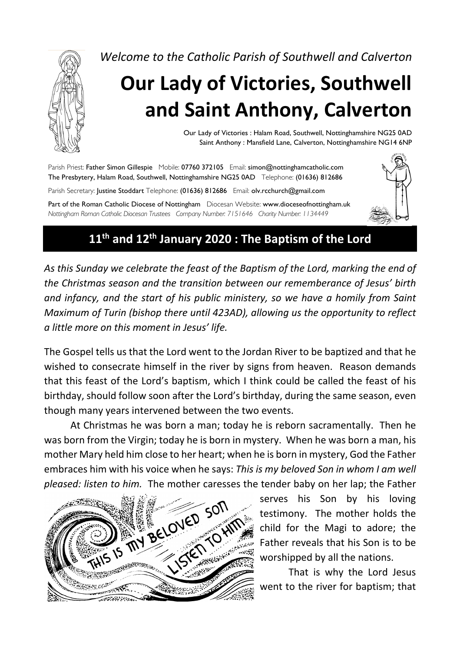

*Welcome to the Catholic Parish of Southwell and Calverton*

# **Our Lady of Victories, Southwell and Saint Anthony, Calverton**

Our Lady of Victories : Halam Road, Southwell, Nottinghamshire NG25 0AD Saint Anthony : Mansfield Lane, Calverton, Nottinghamshire NG14 6NP

Parish Priest: Father Simon Gillespie Mobile: 07760 372105 Email: simon@nottinghamcatholic.com The Presbytery, Halam Road, Southwell, Nottinghamshire NG25 0AD Telephone: (01636) 812686 Parish Secretary: Justine Stoddart Telephone: (01636) 812686 Email: olv.rcchurch@gmail.com

Part of the Roman Catholic Diocese of Nottingham Diocesan Website: www.dioceseofnottingham.uk *Nottingham Roman Catholic Diocesan Trustees Company Number: 7151646 Charity Number: 1134449*

## **11th and 12th January 2020 : The Baptism of the Lord**

*As this Sunday we celebrate the feast of the Baptism of the Lord, marking the end of the Christmas season and the transition between our rememberance of Jesus' birth and infancy, and the start of his public ministery, so we have a homily from Saint Maximum of Turin (bishop there until 423AD), allowing us the opportunity to reflect a little more on this moment in Jesus' life.*

The Gospel tells us that the Lord went to the Jordan River to be baptized and that he wished to consecrate himself in the river by signs from heaven. Reason demands that this feast of the Lord's baptism, which I think could be called the feast of his birthday, should follow soon after the Lord's birthday, during the same season, even though many years intervened between the two events.

At Christmas he was born a man; today he is reborn sacramentally. Then he was born from the Virgin; today he is born in mystery. When he was born a man, his mother Mary held him close to her heart; when he is born in mystery, God the Father embraces him with his voice when he says: *This is my beloved Son in whom I am well* 



serves his Son by his loving testimony. The mother holds the child for the Magi to adore; the Father reveals that his Son is to be worshipped by all the nations.

That is why the Lord Jesus went to the river for baptism; that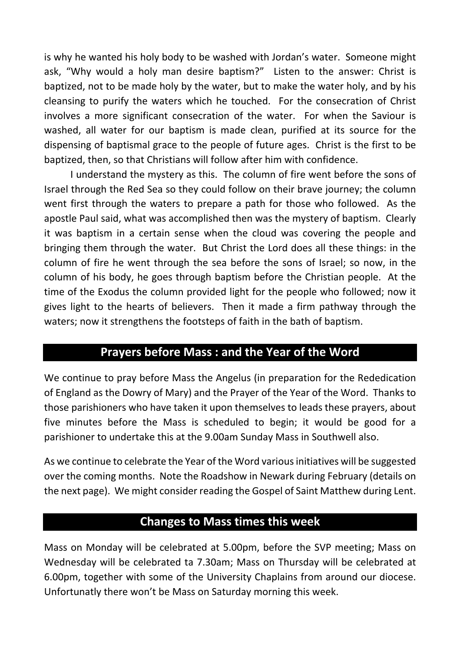is why he wanted his holy body to be washed with Jordan's water. Someone might ask, "Why would a holy man desire baptism?" Listen to the answer: Christ is baptized, not to be made holy by the water, but to make the water holy, and by his cleansing to purify the waters which he touched. For the consecration of Christ involves a more significant consecration of the water. For when the Saviour is washed, all water for our baptism is made clean, purified at its source for the dispensing of baptismal grace to the people of future ages. Christ is the first to be baptized, then, so that Christians will follow after him with confidence.

I understand the mystery as this. The column of fire went before the sons of Israel through the Red Sea so they could follow on their brave journey; the column went first through the waters to prepare a path for those who followed. As the apostle Paul said, what was accomplished then was the mystery of baptism. Clearly it was baptism in a certain sense when the cloud was covering the people and bringing them through the water. But Christ the Lord does all these things: in the column of fire he went through the sea before the sons of Israel; so now, in the column of his body, he goes through baptism before the Christian people. At the time of the Exodus the column provided light for the people who followed; now it gives light to the hearts of believers. Then it made a firm pathway through the waters; now it strengthens the footsteps of faith in the bath of baptism.

#### **Prayers before Mass : and the Year of the Word**

We continue to pray before Mass the Angelus (in preparation for the Rededication of England as the Dowry of Mary) and the Prayer of the Year of the Word. Thanks to those parishioners who have taken it upon themselves to leads these prayers, about five minutes before the Mass is scheduled to begin; it would be good for a parishioner to undertake this at the 9.00am Sunday Mass in Southwell also.

As we continue to celebrate the Year of the Word various initiatives will be suggested over the coming months. Note the Roadshow in Newark during February (details on the next page). We might consider reading the Gospel of Saint Matthew during Lent.

#### **Changes to Mass times this week**

Mass on Monday will be celebrated at 5.00pm, before the SVP meeting; Mass on Wednesday will be celebrated ta 7.30am; Mass on Thursday will be celebrated at 6.00pm, together with some of the University Chaplains from around our diocese. Unfortunatly there won't be Mass on Saturday morning this week.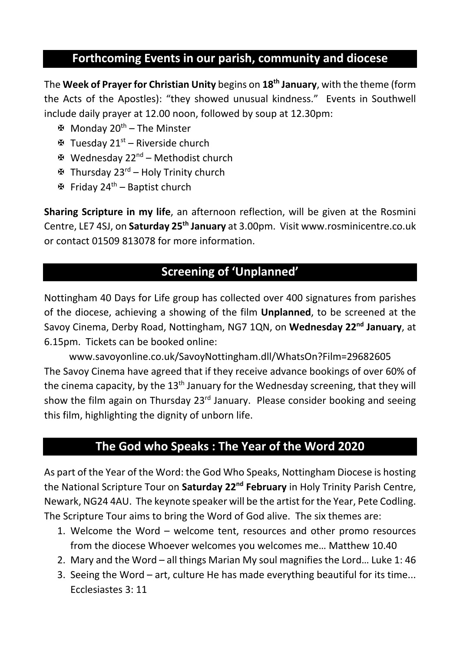## **Forthcoming Events in our parish, community and diocese**

The **Week of Prayer for Christian Unity** begins on **18th January**, with the theme (form the Acts of the Apostles): "they showed unusual kindness." Events in Southwell include daily prayer at 12.00 noon, followed by soup at 12.30pm:

- X Monday 20th The Minster
- $\mathbf{\mathfrak{B}}$  Tuesday 21<sup>st</sup> Riverside church
- X Wednesday 22nd Methodist church
- $\mathbf{\mathfrak{B}}$  Thursday 23<sup>rd</sup> Holy Trinity church
- $\mathfrak{B}$  Friday 24<sup>th</sup> Baptist church

**Sharing Scripture in my life**, an afternoon reflection, will be given at the Rosmini Centre, LE7 4SJ, on **Saturday 25th January** at 3.00pm. Visit www.rosminicentre.co.uk or contact 01509 813078 for more information.

## **Screening of 'Unplanned'**

Nottingham 40 Days for Life group has collected over 400 signatures from parishes of the diocese, achieving a showing of the film **Unplanned**, to be screened at the Savoy Cinema, Derby Road, Nottingham, NG7 1QN, on **Wednesday 22nd January**, at 6.15pm. Tickets can be booked online:

www.savoyonline.co.uk/SavoyNottingham.dll/WhatsOn?Film=29682605 The Savoy Cinema have agreed that if they receive advance bookings of over 60% of the cinema capacity, by the  $13<sup>th</sup>$  January for the Wednesday screening, that they will show the film again on Thursday  $23<sup>rd</sup>$  January. Please consider booking and seeing this film, highlighting the dignity of unborn life.

### **The God who Speaks : The Year of the Word 2020**

As part of the Year of the Word: the God Who Speaks, Nottingham Diocese is hosting the National Scripture Tour on **Saturday 22nd February** in Holy Trinity Parish Centre, Newark, NG24 4AU. The keynote speaker will be the artist for the Year, Pete Codling. The Scripture Tour aims to bring the Word of God alive. The six themes are:

- 1. Welcome the Word welcome tent, resources and other promo resources from the diocese Whoever welcomes you welcomes me… Matthew 10.40
- 2. Mary and the Word all things Marian My soul magnifies the Lord… Luke 1: 46
- 3. Seeing the Word art, culture He has made everything beautiful for its time... Ecclesiastes 3: 11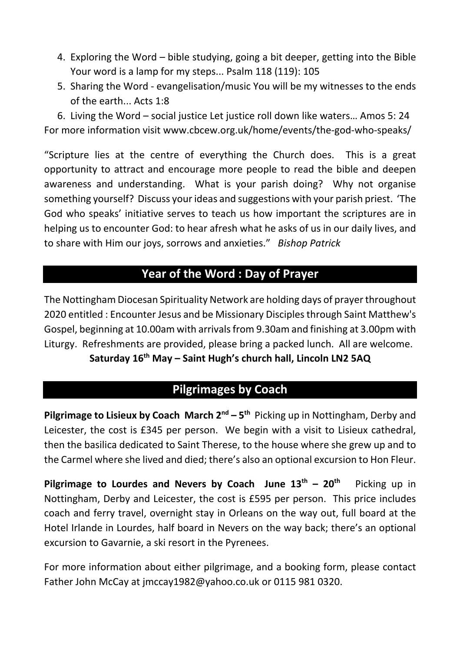- 4. Exploring the Word bible studying, going a bit deeper, getting into the Bible Your word is a lamp for my steps... Psalm 118 (119): 105
- 5. Sharing the Word evangelisation/music You will be my witnesses to the ends of the earth... Acts 1:8

6. Living the Word – social justice Let justice roll down like waters… Amos 5: 24 For more information visit www.cbcew.org.uk/home/events/the-god-who-speaks/

"Scripture lies at the centre of everything the Church does. This is a great opportunity to attract and encourage more people to read the bible and deepen awareness and understanding. What is your parish doing? Why not organise something yourself? Discuss your ideas and suggestions with your parish priest. 'The God who speaks' initiative serves to teach us how important the scriptures are in helping us to encounter God: to hear afresh what he asks of us in our daily lives, and to share with Him our joys, sorrows and anxieties." *Bishop Patrick*

## **Year of the Word : Day of Prayer**

The Nottingham Diocesan Spirituality Network are holding days of prayer throughout 2020 entitled : Encounter Jesus and be Missionary Disciples through Saint Matthew's Gospel, beginning at 10.00am with arrivals from 9.30am and finishing at 3.00pm with Liturgy. Refreshments are provided, please bring a packed lunch. All are welcome. **Saturday 16th May – Saint Hugh's church hall, Lincoln LN2 5AQ**

## **Pilgrimages by Coach**

**Pilgrimage to Lisieux by Coach March 2nd – 5th** Picking up in Nottingham, Derby and Leicester, the cost is £345 per person. We begin with a visit to Lisieux cathedral, then the basilica dedicated to Saint Therese, to the house where she grew up and to the Carmel where she lived and died; there's also an optional excursion to Hon Fleur.

**Pilgrimage to Lourdes and Nevers by Coach June 13th – 20th** Picking up in Nottingham, Derby and Leicester, the cost is £595 per person. This price includes coach and ferry travel, overnight stay in Orleans on the way out, full board at the Hotel Irlande in Lourdes, half board in Nevers on the way back; there's an optional excursion to Gavarnie, a ski resort in the Pyrenees.

For more information about either pilgrimage, and a booking form, please contact Father John McCay at jmccay1982@yahoo.co.uk or 0115 981 0320.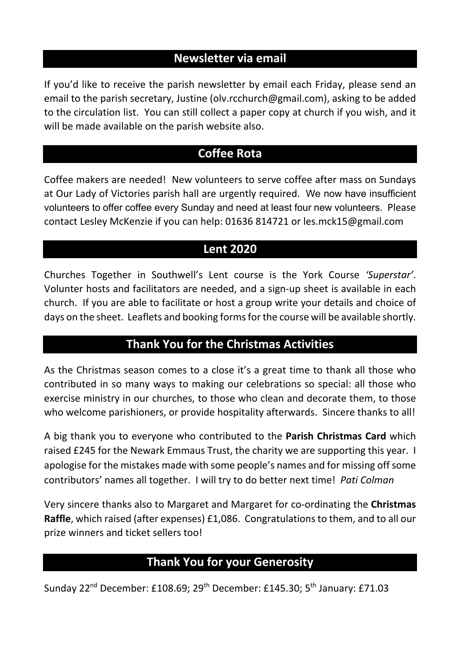## **Newsletter via email**

If you'd like to receive the parish newsletter by email each Friday, please send an email to the parish secretary, Justine (olv.rcchurch@gmail.com), asking to be added to the circulation list. You can still collect a paper copy at church if you wish, and it will be made available on the parish website also.

## **Coffee Rota**

Coffee makers are needed! New volunteers to serve coffee after mass on Sundays at Our Lady of Victories parish hall are urgently required. We now have insufficient volunteers to offer coffee every Sunday and need at least four new volunteers. Please contact Lesley McKenzie if you can help: 01636 814721 or les.mck15@gmail.com

## **Lent 2020**

Churches Together in Southwell's Lent course is the York Course *'Superstar'*. Volunter hosts and facilitators are needed, and a sign-up sheet is available in each church. If you are able to facilitate or host a group write your details and choice of days on the sheet. Leaflets and booking forms for the course will be available shortly.

#### **Thank You for the Christmas Activities**

As the Christmas season comes to a close it's a great time to thank all those who contributed in so many ways to making our celebrations so special: all those who exercise ministry in our churches, to those who clean and decorate them, to those who welcome parishioners, or provide hospitality afterwards. Sincere thanks to all!

A big thank you to everyone who contributed to the **Parish Christmas Card** which raised £245 for the Newark Emmaus Trust, the charity we are supporting this year. I apologise for the mistakes made with some people's names and for missing off some contributors' names all together. I will try to do better next time! *Pati Colman*

Very sincere thanks also to Margaret and Margaret for co-ordinating the **Christmas Raffle**, which raised (after expenses) £1,086. Congratulations to them, and to all our prize winners and ticket sellers too!

## **Thank You for your Generosity**

Sunday 22<sup>nd</sup> December: £108.69; 29<sup>th</sup> December: £145.30; 5<sup>th</sup> January: £71.03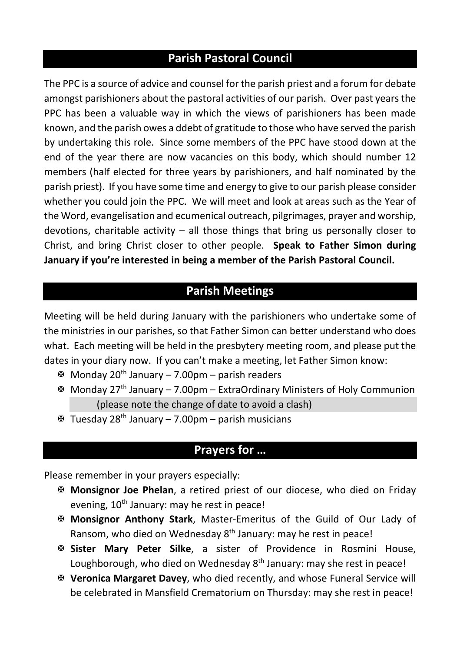## **Parish Pastoral Council**

The PPC is a source of advice and counsel for the parish priest and a forum for debate amongst parishioners about the pastoral activities of our parish. Over past years the PPC has been a valuable way in which the views of parishioners has been made known, and the parish owes a ddebt of gratitude to those who have served the parish by undertaking this role. Since some members of the PPC have stood down at the end of the year there are now vacancies on this body, which should number 12 members (half elected for three years by parishioners, and half nominated by the parish priest). If you have some time and energy to give to our parish please consider whether you could join the PPC. We will meet and look at areas such as the Year of the Word, evangelisation and ecumenical outreach, pilgrimages, prayer and worship, devotions, charitable activity – all those things that bring us personally closer to Christ, and bring Christ closer to other people. **Speak to Father Simon during January if you're interested in being a member of the Parish Pastoral Council.**

## **Parish Meetings**

Meeting will be held during January with the parishioners who undertake some of the ministries in our parishes, so that Father Simon can better understand who does what. Each meeting will be held in the presbytery meeting room, and please put the dates in your diary now. If you can't make a meeting, let Father Simon know:

- $\mathfrak{B}$  Monday 20<sup>th</sup> January 7.00pm parish readers
- X Monday 27th January 7.00pm ExtraOrdinary Ministers of Holy Communion (please note the change of date to avoid a clash)
- $\mathfrak{B}$  Tuesday 28<sup>th</sup> January 7.00pm parish musicians

#### **Prayers for …**

Please remember in your prayers especially:

- X **Monsignor Joe Phelan**, a retired priest of our diocese, who died on Friday evening,  $10^{th}$  January: may he rest in peace!
- X **Monsignor Anthony Stark**, Master-Emeritus of the Guild of Our Lady of Ransom, who died on Wednesday 8<sup>th</sup> January: may he rest in peace!
- X **Sister Mary Peter Silke**, a sister of Providence in Rosmini House, Loughborough, who died on Wednesday 8<sup>th</sup> January: may she rest in peace!
- X **Veronica Margaret Davey**, who died recently, and whose Funeral Service will be celebrated in Mansfield Crematorium on Thursday: may she rest in peace!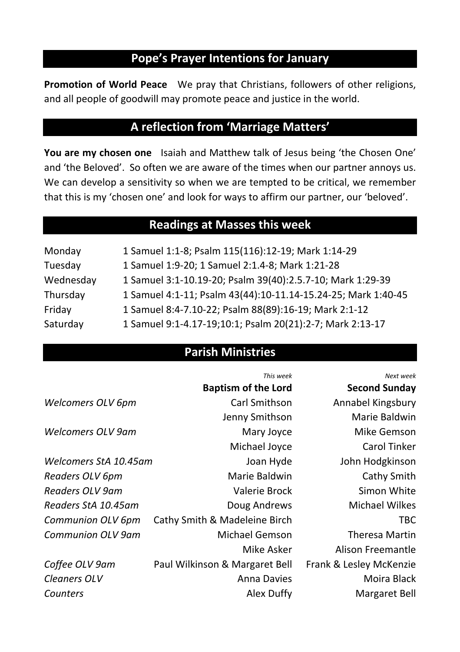#### **Pope's Prayer Intentions for January**

**Promotion of World Peace** We pray that Christians, followers of other religions, and all people of goodwill may promote peace and justice in the world.

#### **A reflection from 'Marriage Matters'**

**You are my chosen one** Isaiah and Matthew talk of Jesus being 'the Chosen One' and 'the Beloved'. So often we are aware of the times when our partner annoys us. We can develop a sensitivity so when we are tempted to be critical, we remember that this is my 'chosen one' and look for ways to affirm our partner, our 'beloved'.

#### **Readings at Masses this week**

| Monday    | 1 Samuel 1:1-8; Psalm 115(116):12-19; Mark 1:14-29            |
|-----------|---------------------------------------------------------------|
| Tuesday   | 1 Samuel 1:9-20; 1 Samuel 2:1.4-8; Mark 1:21-28               |
| Wednesday | 1 Samuel 3:1-10.19-20; Psalm 39(40):2.5.7-10; Mark 1:29-39    |
| Thursday  | 1 Samuel 4:1-11; Psalm 43(44):10-11.14-15.24-25; Mark 1:40-45 |
| Friday    | 1 Samuel 8:4-7.10-22; Psalm 88(89):16-19; Mark 2:1-12         |
| Saturday  | 1 Samuel 9:1-4.17-19;10:1; Psalm 20(21):2-7; Mark 2:13-17     |

#### **Parish Ministries**

|                       | This week                      | Next week               |
|-----------------------|--------------------------------|-------------------------|
|                       | <b>Baptism of the Lord</b>     | <b>Second Sunday</b>    |
| Welcomers OLV 6pm     | Carl Smithson                  | Annabel Kingsbury       |
|                       | Jenny Smithson                 | Marie Baldwin           |
| Welcomers OLV 9am     | Mary Joyce                     | Mike Gemson             |
|                       | Michael Joyce                  | <b>Carol Tinker</b>     |
| Welcomers StA 10.45am | Joan Hyde                      | John Hodgkinson         |
| Readers OLV 6pm       | Marie Baldwin                  | Cathy Smith             |
| Readers OLV 9am       | Valerie Brock                  | Simon White             |
| Readers StA 10.45am   | Doug Andrews                   | Michael Wilkes          |
| Communion OLV 6pm     | Cathy Smith & Madeleine Birch  | <b>TBC</b>              |
| Communion OLV 9am     | Michael Gemson                 | <b>Theresa Martin</b>   |
|                       | Mike Asker                     | Alison Freemantle       |
| Coffee OLV 9am        | Paul Wilkinson & Margaret Bell | Frank & Lesley McKenzie |
| Cleaners OLV          | <b>Anna Davies</b>             | Moira Black             |
| Counters              | Alex Duffy                     | Margaret Bell           |